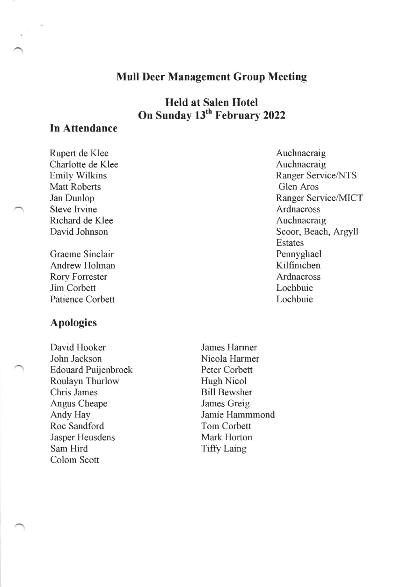# Mull Deer Management Group Meeting

Held at Salen Hotel On Sunday 13<sup>th</sup> February 2022

# In Attendance

Rupert de Klee Charlotte de Klee Ernily Wilkins Matt Roberts Jan Dunlop Steve Irvine Richard de Klee David Johnson

Graeme Sinclair Andrew Holman Rory Forrester Jim Corbett Patience Corbett

# Apologies

David Hooker John Jackson Edouard Puijenbroek Roulayn Thurlow Clris James Angus Cheape Andy Hay Roc Sandford Jasper Heusdens Sam Hird Colom Scott

Auchnacraig Auchnacraig Ranger Service/NTS Glen Aros Ranger Service/MICT Ardnacross Auchnacraig Scoor, Beach, Argyll Estates Pennyghael Kilfinichen Ardnacross Lochbuie Lochbuie

James Harmer Nicola Harmer Peter Corbett Hugh Nicol Bill Bewsher James Greig Jamie Hammmond Tom Corbett Mark Horton **Tiffy Laing**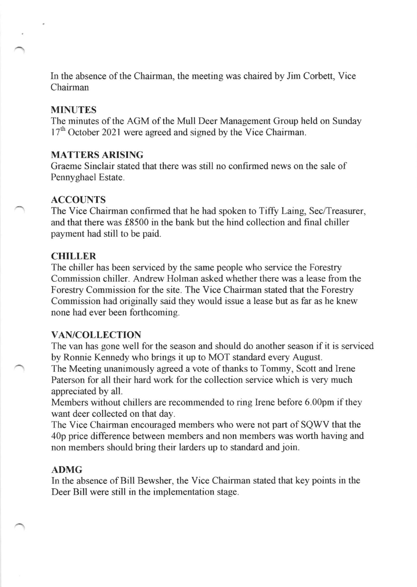ln the absence of the Chairman, the meeting was chaired by Jim Corbett, Vice Chairman

## MINUTES

The minutes of the AGM of the Mull Deer Management Group held on Sunday 17<sup>th</sup> October 2021 were agreed and signed by the Vice Chairman.

### MATTERS ARISING

Graeme Sinclair stated that there was still no confirmed news on the sale of Pennyghael Estate.

## ACCOUNTS

The Vice Chairman confirmed that he had spoken to Tiffy Laing, Sec/Treasurer, and that there was f8500 in the bank but the hind collection and final chiller payment had still to be paid.

#### CHILLER

The chiller has been serviced by the same people who service the Forestry Commission chiller. Andrew Holman asked whether there was a lease from the Forestry Comrnission for the site. The Vice Chairman stated that the Forestry Commission had originally said they would issue a lease but as far as he knew none had ever been forthcoming.

#### VAN/COLLECTION

The van has gone well for the season and should do another season if it is serviced by Ronnie Kennedy who brings it up to MOT standard every August.

The Meeting unanimously agreed a vote of thanks to Tommy, Scott and Irene Paterson for all their hard work for the collection service which is very much appreciated by all.

Members without chillers are recommended to ring Irene before 6.00pm if they want deer collected on that day.

The Vice Chairman encouraged mernbers who were not part of SQWV that the 40p price difference between members and non members was worth having and non members should bring their larders up to standard and join.

#### ADMG

In the absence of Bill Bewsher, the Vice Chairman stated that key points in the Deer Bill were still in the implementation stage.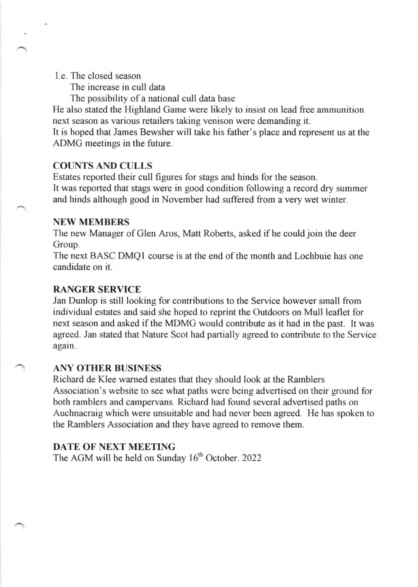I.e. The closed season

The increase in cull data

The possibility of a national cull data base

He also stated the Highland Game were likely to insist on lead free ammunition next season as various retailers taking venison were demanding it.

It is hoped that James Bewsher will take his father's place and represent us at the ADMG meetings in the future.

### COUNTS AND CULLS

Estates reported their cull figures for stags and hinds for the season. It was reported that stags were in good condition following a record dry summer and hinds although good in November had suffered from a very wet winter.

### NEW MEMBERS

The new Manager of Glen Aros, Matt Roberts, asked if he could join the deer Group.

The next BASC DMQI course is at the end of the month and Lochbuie has one candidate on it.

## RANGER SERVICE

Jan Dunlop is still looking for contributions to the Service however small from individual estates and said she hoped to reprint the Outdoors on Mull leaflet for next season and asked if the MDMG would contribute as it had in the past. It was agreed. Jan stated that Nature Scot had partially agreed to contribute to the Service again..

### ANY OTHER BUSINESS

Richard de Klee warned estates that they should look at the Ramblers Association's website to see what paths were being advertised on their ground for both rarnblers and campervans. Richard had found several advertised paths on Auchnacraig which were unsuitable and had never been agreed. He has spoken to the Rarnblers Association and they have agreed to remove them.

## DATE OF NEXT MEETING

The AGM will be held on Sunday  $16<sup>th</sup>$  October. 2022